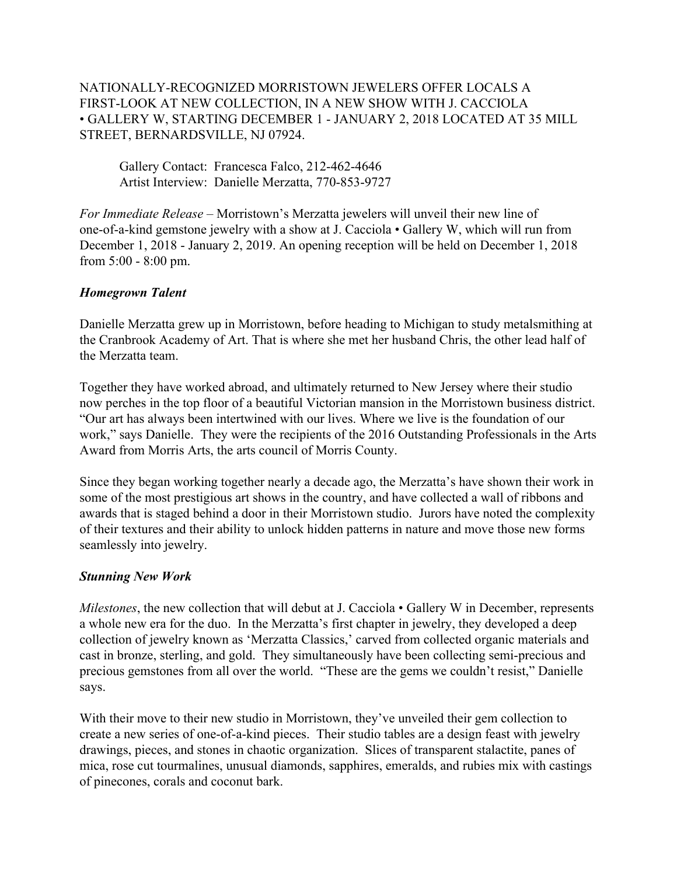NATIONALLY-RECOGNIZED MORRISTOWN JEWELERS OFFER LOCALS A FIRST-LOOK AT NEW COLLECTION, IN A NEW SHOW WITH J. CACCIOLA • GALLERY W, STARTING DECEMBER 1 - JANUARY 2, 2018 LOCATED AT 35 MILL STREET, BERNARDSVILLE, NJ 07924.

Gallery Contact: Francesca Falco, 212-462-4646 Artist Interview: Danielle Merzatta, 770-853-9727

*For Immediate Release –* Morristown's Merzatta jewelers will unveil their new line of one-of-a-kind gemstone jewelry with a show at J. Cacciola • Gallery W, which will run from December 1, 2018 - January 2, 2019. An opening reception will be held on December 1, 2018 from 5:00 - 8:00 pm.

## *Homegrown Talent*

Danielle Merzatta grew up in Morristown, before heading to Michigan to study metalsmithing at the Cranbrook Academy of Art. That is where she met her husband Chris, the other lead half of the Merzatta team.

Together they have worked abroad, and ultimately returned to New Jersey where their studio now perches in the top floor of a beautiful Victorian mansion in the Morristown business district. "Our art has always been intertwined with our lives. Where we live is the foundation of our work," says Danielle. They were the recipients of the 2016 Outstanding Professionals in the Arts Award from Morris Arts, the arts council of Morris County.

Since they began working together nearly a decade ago, the Merzatta's have shown their work in some of the most prestigious art shows in the country, and have collected a wall of ribbons and awards that is staged behind a door in their Morristown studio. Jurors have noted the complexity of their textures and their ability to unlock hidden patterns in nature and move those new forms seamlessly into jewelry.

## *Stunning New Work*

*Milestones*, the new collection that will debut at J. Cacciola • Gallery W in December, represents a whole new era for the duo. In the Merzatta's first chapter in jewelry, they developed a deep collection of jewelry known as 'Merzatta Classics,' carved from collected organic materials and cast in bronze, sterling, and gold. They simultaneously have been collecting semi-precious and precious gemstones from all over the world. "These are the gems we couldn't resist," Danielle says.

With their move to their new studio in Morristown, they've unveiled their gem collection to create a new series of one-of-a-kind pieces. Their studio tables are a design feast with jewelry drawings, pieces, and stones in chaotic organization. Slices of transparent stalactite, panes of mica, rose cut tourmalines, unusual diamonds, sapphires, emeralds, and rubies mix with castings of pinecones, corals and coconut bark.